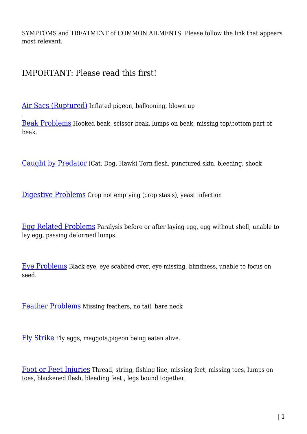SYMPTOMS and TREATMENT of COMMON AILMENTS: Please follow the link that appears most relevant.

IMPORTANT: Please read this first!

.

[Air Sacs \(Ruptured\)](http://www.pigeonrescue.sirtobyservices.com/commonailments-2/rupturedairsac/) Inflated pigeon, ballooning, blown up

[Beak Problems](http://www.pigeonrescue.sirtobyservices.com/commonailments-2/beakproblems-2/) Hooked beak, scissor beak, lumps on beak, missing top/bottom part of beak.

[Caught by Predator](http://www.pigeonrescue.sirtobyservices.com/commonailments-2/predatedorshot/) (Cat, Dog, Hawk) Torn flesh, punctured skin, bleeding, shock

[Digestive Problems](http://www.pigeonrescue.sirtobyservices.com/commonailments-2/digestiveproblems/) Crop not emptying (crop stasis), yeast infection

[Egg Related Problems](http://www.pigeonrescue.sirtobyservices.com/commonailments-2/eggrelatedproblems/) Paralysis before or after laying egg, egg without shell, unable to lay egg, passing deformed lumps.

[Eye Problems](http://www.pigeonrescue.sirtobyservices.com/commonailments-2/eyeproblems/) Black eye, eye scabbed over, eye missing, blindness, unable to focus on seed.

[Feather Problems](http://www.pigeonrescue.sirtobyservices.com/commonailments-2/feathers/) Missing feathers, no tail, bare neck

[Fly Strike](http://www.pigeonrescue.sirtobyservices.com/commonailments-2/flystrike/) Fly eggs, maggots,pigeon being eaten alive.

[Foot or Feet Injuries](http://www.pigeonrescue.sirtobyservices.com/commonailments-2/footorfeetinjuries/) Thread, string, fishing line, missing feet, missing toes, lumps on toes, blackened flesh, bleeding feet , legs bound together.